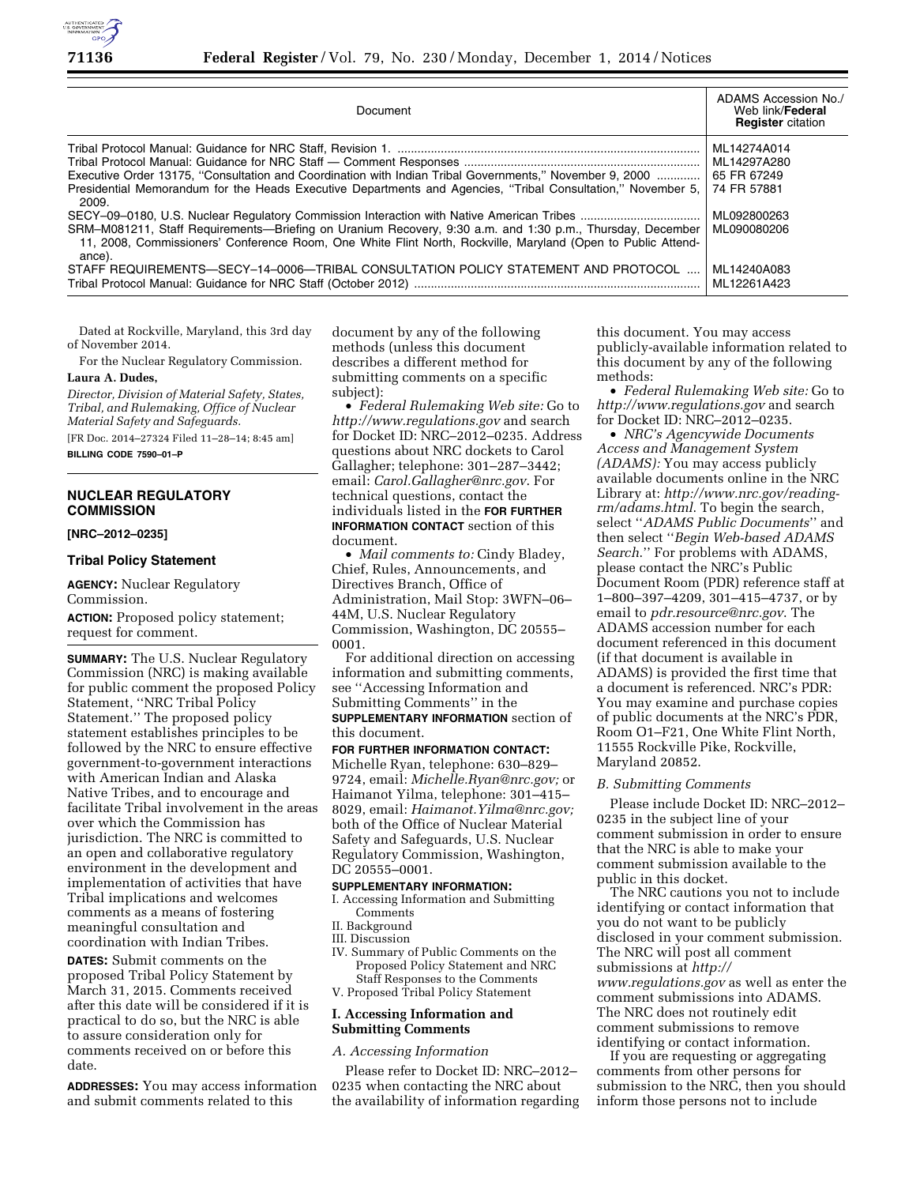

| Document                                                                                                                                                                                                                                                                                                                                      | ADAMS Accession No./<br>Web link/ <b>Federal</b><br><b>Register</b> citation           |
|-----------------------------------------------------------------------------------------------------------------------------------------------------------------------------------------------------------------------------------------------------------------------------------------------------------------------------------------------|----------------------------------------------------------------------------------------|
| Executive Order 13175, "Consultation and Coordination with Indian Tribal Governments," November 9, 2000<br>Presidential Memorandum for the Heads Executive Departments and Agencies, "Tribal Consultation," November 5,<br>2009.<br>SRM-M081211, Staff Requirements—Briefing on Uranium Recovery, 9:30 a.m. and 1:30 p.m., Thursday, December | ML14274A014<br>ML14297A280<br>65 FR 67249<br>74 FR 57881<br>ML092800263<br>ML090080206 |
| 11, 2008, Commissioners' Conference Room, One White Flint North, Rockville, Maryland (Open to Public Attend-<br>ance).<br>STAFF REQUIREMENTS—SECY-14-0006—TRIBAL CONSULTATION POLICY STATEMENT AND PROTOCOL                                                                                                                                   | ML14240A083<br>ML12261A423                                                             |

Dated at Rockville, Maryland, this 3rd day of November 2014.

For the Nuclear Regulatory Commission.

**Laura A. Dudes,** 

*Director, Division of Material Safety, States, Tribal, and Rulemaking, Office of Nuclear Material Safety and Safeguards.* 

[FR Doc. 2014–27324 Filed 11–28–14; 8:45 am] **BILLING CODE 7590–01–P** 

### **NUCLEAR REGULATORY COMMISSION**

#### **[NRC–2012–0235]**

#### **Tribal Policy Statement**

**AGENCY:** Nuclear Regulatory Commission.

**ACTION:** Proposed policy statement; request for comment.

**SUMMARY:** The U.S. Nuclear Regulatory Commission (NRC) is making available for public comment the proposed Policy Statement, ''NRC Tribal Policy Statement.'' The proposed policy statement establishes principles to be followed by the NRC to ensure effective government-to-government interactions with American Indian and Alaska Native Tribes, and to encourage and facilitate Tribal involvement in the areas over which the Commission has jurisdiction. The NRC is committed to an open and collaborative regulatory environment in the development and implementation of activities that have Tribal implications and welcomes comments as a means of fostering meaningful consultation and coordination with Indian Tribes.

**DATES:** Submit comments on the proposed Tribal Policy Statement by March 31, 2015. Comments received after this date will be considered if it is practical to do so, but the NRC is able to assure consideration only for comments received on or before this date.

**ADDRESSES:** You may access information and submit comments related to this

document by any of the following methods (unless this document describes a different method for submitting comments on a specific subject):

• *Federal Rulemaking Web site:* Go to *<http://www.regulations.gov>* and search for Docket ID: NRC–2012–0235. Address questions about NRC dockets to Carol Gallagher; telephone: 301–287–3442; email: *[Carol.Gallagher@nrc.gov](mailto:Carol.Gallagher@nrc.gov)*. For technical questions, contact the individuals listed in the **FOR FURTHER INFORMATION CONTACT** section of this document.

• *Mail comments to:* Cindy Bladey, Chief, Rules, Announcements, and Directives Branch, Office of Administration, Mail Stop: 3WFN–06– 44M, U.S. Nuclear Regulatory Commission, Washington, DC 20555– 0001.

For additional direction on accessing information and submitting comments, see ''Accessing Information and Submitting Comments'' in the **SUPPLEMENTARY INFORMATION** section of this document.

### **FOR FURTHER INFORMATION CONTACT:**

Michelle Ryan, telephone: 630–829– 9724, email: *[Michelle.Ryan@nrc.gov;](mailto:Michelle.Ryan@nrc.gov)* or Haimanot Yilma, telephone: 301–415– 8029, email: *[Haimanot.Yilma@nrc.gov;](mailto:Haimanot.Yilma@nrc.gov)*  both of the Office of Nuclear Material Safety and Safeguards, U.S. Nuclear Regulatory Commission, Washington, DC 20555–0001.

# **SUPPLEMENTARY INFORMATION:**

I. Accessing Information and Submitting Comments

- II. Background
- III. Discussion
- IV. Summary of Public Comments on the Proposed Policy Statement and NRC Staff Responses to the Comments
- V. Proposed Tribal Policy Statement

# **I. Accessing Information and Submitting Comments**

### *A. Accessing Information*

Please refer to Docket ID: NRC–2012– 0235 when contacting the NRC about the availability of information regarding

this document. You may access publicly-available information related to this document by any of the following methods:

• *Federal Rulemaking Web site:* Go to *<http://www.regulations.gov>* and search for Docket ID: NRC–2012–0235.

• *NRC's Agencywide Documents Access and Management System (ADAMS):* You may access publicly available documents online in the NRC Library at: *[http://www.nrc.gov/reading](http://www.nrc.gov/reading-rm/adams.html)[rm/adams.html](http://www.nrc.gov/reading-rm/adams.html)*. To begin the search, select ''*ADAMS Public Documents*'' and then select ''*Begin Web-based ADAMS Search*.'' For problems with ADAMS, please contact the NRC's Public Document Room (PDR) reference staff at 1–800–397–4209, 301–415–4737, or by email to *[pdr.resource@nrc.gov](mailto:pdr.resource@nrc.gov)*. The ADAMS accession number for each document referenced in this document (if that document is available in ADAMS) is provided the first time that a document is referenced. NRC's PDR: You may examine and purchase copies of public documents at the NRC's PDR, Room O1–F21, One White Flint North, 11555 Rockville Pike, Rockville, Maryland 20852.

### *B. Submitting Comments*

Please include Docket ID: NRC–2012– 0235 in the subject line of your comment submission in order to ensure that the NRC is able to make your comment submission available to the public in this docket.

The NRC cautions you not to include identifying or contact information that you do not want to be publicly disclosed in your comment submission. The NRC will post all comment submissions at *[http://](http://www.regulations.gov) [www.regulations.gov](http://www.regulations.gov)* as well as enter the comment submissions into ADAMS. The NRC does not routinely edit comment submissions to remove identifying or contact information.

If you are requesting or aggregating comments from other persons for submission to the NRC, then you should inform those persons not to include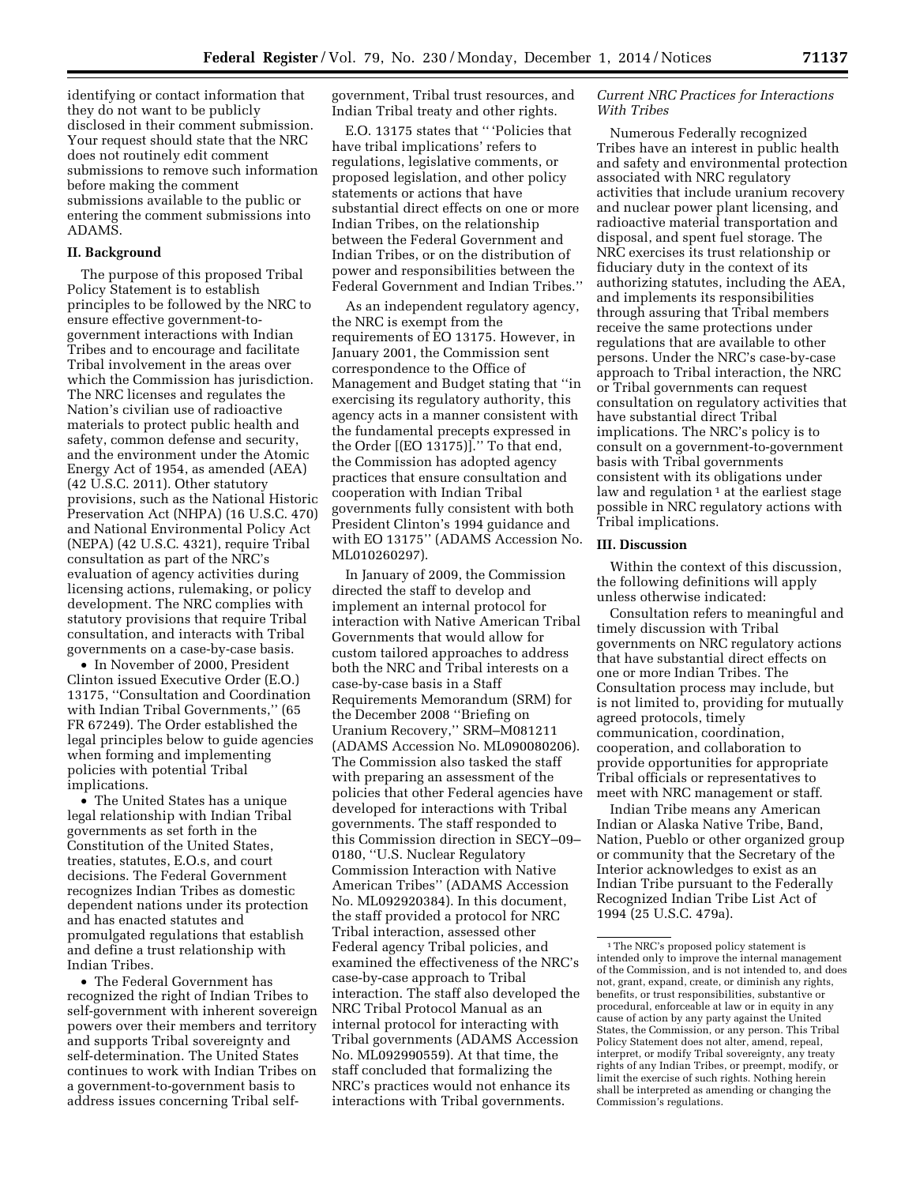identifying or contact information that they do not want to be publicly disclosed in their comment submission. Your request should state that the NRC does not routinely edit comment submissions to remove such information before making the comment submissions available to the public or entering the comment submissions into ADAMS.

### **II. Background**

The purpose of this proposed Tribal Policy Statement is to establish principles to be followed by the NRC to ensure effective government-togovernment interactions with Indian Tribes and to encourage and facilitate Tribal involvement in the areas over which the Commission has jurisdiction. The NRC licenses and regulates the Nation's civilian use of radioactive materials to protect public health and safety, common defense and security, and the environment under the Atomic Energy Act of 1954, as amended (AEA) (42 U.S.C. 2011). Other statutory provisions, such as the National Historic Preservation Act (NHPA) (16 U.S.C. 470) and National Environmental Policy Act (NEPA) (42 U.S.C. 4321), require Tribal consultation as part of the NRC's evaluation of agency activities during licensing actions, rulemaking, or policy development. The NRC complies with statutory provisions that require Tribal consultation, and interacts with Tribal governments on a case-by-case basis.

• In November of 2000, President Clinton issued Executive Order (E.O.) 13175, ''Consultation and Coordination with Indian Tribal Governments,'' (65 FR 67249). The Order established the legal principles below to guide agencies when forming and implementing policies with potential Tribal implications.

• The United States has a unique legal relationship with Indian Tribal governments as set forth in the Constitution of the United States, treaties, statutes, E.O.s, and court decisions. The Federal Government recognizes Indian Tribes as domestic dependent nations under its protection and has enacted statutes and promulgated regulations that establish and define a trust relationship with Indian Tribes.

• The Federal Government has recognized the right of Indian Tribes to self-government with inherent sovereign powers over their members and territory and supports Tribal sovereignty and self-determination. The United States continues to work with Indian Tribes on a government-to-government basis to address issues concerning Tribal selfgovernment, Tribal trust resources, and Indian Tribal treaty and other rights.

E.O. 13175 states that '' 'Policies that have tribal implications' refers to regulations, legislative comments, or proposed legislation, and other policy statements or actions that have substantial direct effects on one or more Indian Tribes, on the relationship between the Federal Government and Indian Tribes, or on the distribution of power and responsibilities between the Federal Government and Indian Tribes.''

As an independent regulatory agency, the NRC is exempt from the requirements of EO 13175. However, in January 2001, the Commission sent correspondence to the Office of Management and Budget stating that ''in exercising its regulatory authority, this agency acts in a manner consistent with the fundamental precepts expressed in the Order [(EO 13175)].'' To that end, the Commission has adopted agency practices that ensure consultation and cooperation with Indian Tribal governments fully consistent with both President Clinton's 1994 guidance and with EO 13175'' (ADAMS Accession No. ML010260297).

In January of 2009, the Commission directed the staff to develop and implement an internal protocol for interaction with Native American Tribal Governments that would allow for custom tailored approaches to address both the NRC and Tribal interests on a case-by-case basis in a Staff Requirements Memorandum (SRM) for the December 2008 ''Briefing on Uranium Recovery,'' SRM–M081211 (ADAMS Accession No. ML090080206). The Commission also tasked the staff with preparing an assessment of the policies that other Federal agencies have developed for interactions with Tribal governments. The staff responded to this Commission direction in SECY–09– 0180, ''U.S. Nuclear Regulatory Commission Interaction with Native American Tribes'' (ADAMS Accession No. ML092920384). In this document, the staff provided a protocol for NRC Tribal interaction, assessed other Federal agency Tribal policies, and examined the effectiveness of the NRC's case-by-case approach to Tribal interaction. The staff also developed the NRC Tribal Protocol Manual as an internal protocol for interacting with Tribal governments (ADAMS Accession No. ML092990559). At that time, the staff concluded that formalizing the NRC's practices would not enhance its interactions with Tribal governments.

### *Current NRC Practices for Interactions With Tribes*

Numerous Federally recognized Tribes have an interest in public health and safety and environmental protection associated with NRC regulatory activities that include uranium recovery and nuclear power plant licensing, and radioactive material transportation and disposal, and spent fuel storage. The NRC exercises its trust relationship or fiduciary duty in the context of its authorizing statutes, including the AEA, and implements its responsibilities through assuring that Tribal members receive the same protections under regulations that are available to other persons. Under the NRC's case-by-case approach to Tribal interaction, the NRC or Tribal governments can request consultation on regulatory activities that have substantial direct Tribal implications. The NRC's policy is to consult on a government-to-government basis with Tribal governments consistent with its obligations under law and regulation  $1$  at the earliest stage possible in NRC regulatory actions with Tribal implications.

# **III. Discussion**

Within the context of this discussion, the following definitions will apply unless otherwise indicated:

Consultation refers to meaningful and timely discussion with Tribal governments on NRC regulatory actions that have substantial direct effects on one or more Indian Tribes. The Consultation process may include, but is not limited to, providing for mutually agreed protocols, timely communication, coordination, cooperation, and collaboration to provide opportunities for appropriate Tribal officials or representatives to meet with NRC management or staff.

Indian Tribe means any American Indian or Alaska Native Tribe, Band, Nation, Pueblo or other organized group or community that the Secretary of the Interior acknowledges to exist as an Indian Tribe pursuant to the Federally Recognized Indian Tribe List Act of 1994 (25 U.S.C. 479a).

<sup>1</sup>The NRC's proposed policy statement is intended only to improve the internal management of the Commission, and is not intended to, and does not, grant, expand, create, or diminish any rights, benefits, or trust responsibilities, substantive or procedural, enforceable at law or in equity in any cause of action by any party against the United States, the Commission, or any person. This Tribal Policy Statement does not alter, amend, repeal, interpret, or modify Tribal sovereignty, any treaty rights of any Indian Tribes, or preempt, modify, or limit the exercise of such rights. Nothing herein shall be interpreted as amending or changing the Commission's regulations.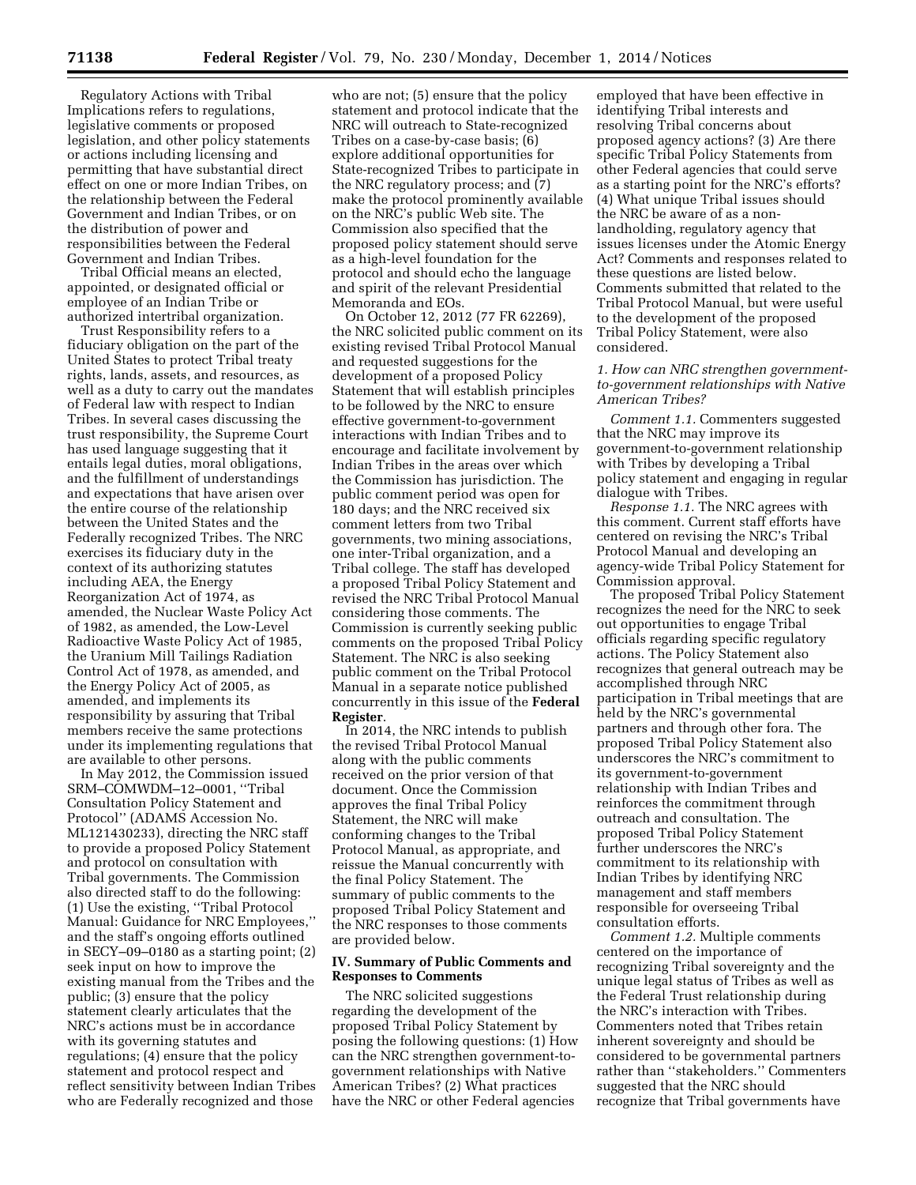Regulatory Actions with Tribal Implications refers to regulations, legislative comments or proposed legislation, and other policy statements or actions including licensing and permitting that have substantial direct effect on one or more Indian Tribes, on the relationship between the Federal Government and Indian Tribes, or on the distribution of power and responsibilities between the Federal Government and Indian Tribes.

Tribal Official means an elected, appointed, or designated official or employee of an Indian Tribe or authorized intertribal organization.

Trust Responsibility refers to a fiduciary obligation on the part of the United States to protect Tribal treaty rights, lands, assets, and resources, as well as a duty to carry out the mandates of Federal law with respect to Indian Tribes. In several cases discussing the trust responsibility, the Supreme Court has used language suggesting that it entails legal duties, moral obligations, and the fulfillment of understandings and expectations that have arisen over the entire course of the relationship between the United States and the Federally recognized Tribes. The NRC exercises its fiduciary duty in the context of its authorizing statutes including AEA, the Energy Reorganization Act of 1974, as amended, the Nuclear Waste Policy Act of 1982, as amended, the Low-Level Radioactive Waste Policy Act of 1985, the Uranium Mill Tailings Radiation Control Act of 1978, as amended, and the Energy Policy Act of 2005, as amended, and implements its responsibility by assuring that Tribal members receive the same protections under its implementing regulations that are available to other persons.

In May 2012, the Commission issued SRM–COMWDM–12–0001, ''Tribal Consultation Policy Statement and Protocol'' (ADAMS Accession No. ML121430233), directing the NRC staff to provide a proposed Policy Statement and protocol on consultation with Tribal governments. The Commission also directed staff to do the following: (1) Use the existing, ''Tribal Protocol Manual: Guidance for NRC Employees,'' and the staff's ongoing efforts outlined in SECY–09–0180 as a starting point; (2) seek input on how to improve the existing manual from the Tribes and the public; (3) ensure that the policy statement clearly articulates that the NRC's actions must be in accordance with its governing statutes and regulations; (4) ensure that the policy statement and protocol respect and reflect sensitivity between Indian Tribes who are Federally recognized and those

who are not; (5) ensure that the policy statement and protocol indicate that the NRC will outreach to State-recognized Tribes on a case-by-case basis; (6) explore additional opportunities for State-recognized Tribes to participate in the NRC regulatory process; and (7) make the protocol prominently available on the NRC's public Web site. The Commission also specified that the proposed policy statement should serve as a high-level foundation for the protocol and should echo the language and spirit of the relevant Presidential Memoranda and EOs.

On October 12, 2012 (77 FR 62269), the NRC solicited public comment on its existing revised Tribal Protocol Manual and requested suggestions for the development of a proposed Policy Statement that will establish principles to be followed by the NRC to ensure effective government-to-government interactions with Indian Tribes and to encourage and facilitate involvement by Indian Tribes in the areas over which the Commission has jurisdiction. The public comment period was open for 180 days; and the NRC received six comment letters from two Tribal governments, two mining associations, one inter-Tribal organization, and a Tribal college. The staff has developed a proposed Tribal Policy Statement and revised the NRC Tribal Protocol Manual considering those comments. The Commission is currently seeking public comments on the proposed Tribal Policy Statement. The NRC is also seeking public comment on the Tribal Protocol Manual in a separate notice published concurrently in this issue of the **Federal Register**.

In 2014, the NRC intends to publish the revised Tribal Protocol Manual along with the public comments received on the prior version of that document. Once the Commission approves the final Tribal Policy Statement, the NRC will make conforming changes to the Tribal Protocol Manual, as appropriate, and reissue the Manual concurrently with the final Policy Statement. The summary of public comments to the proposed Tribal Policy Statement and the NRC responses to those comments are provided below.

### **IV. Summary of Public Comments and Responses to Comments**

The NRC solicited suggestions regarding the development of the proposed Tribal Policy Statement by posing the following questions: (1) How can the NRC strengthen government-togovernment relationships with Native American Tribes? (2) What practices have the NRC or other Federal agencies

employed that have been effective in identifying Tribal interests and resolving Tribal concerns about proposed agency actions? (3) Are there specific Tribal Policy Statements from other Federal agencies that could serve as a starting point for the NRC's efforts? (4) What unique Tribal issues should the NRC be aware of as a nonlandholding, regulatory agency that issues licenses under the Atomic Energy Act? Comments and responses related to these questions are listed below. Comments submitted that related to the Tribal Protocol Manual, but were useful to the development of the proposed Tribal Policy Statement, were also considered.

### *1. How can NRC strengthen governmentto-government relationships with Native American Tribes?*

*Comment 1.1.* Commenters suggested that the NRC may improve its government-to-government relationship with Tribes by developing a Tribal policy statement and engaging in regular dialogue with Tribes.

*Response 1.1.* The NRC agrees with this comment. Current staff efforts have centered on revising the NRC's Tribal Protocol Manual and developing an agency-wide Tribal Policy Statement for Commission approval.

The proposed Tribal Policy Statement recognizes the need for the NRC to seek out opportunities to engage Tribal officials regarding specific regulatory actions. The Policy Statement also recognizes that general outreach may be accomplished through NRC participation in Tribal meetings that are held by the NRC's governmental partners and through other fora. The proposed Tribal Policy Statement also underscores the NRC's commitment to its government-to-government relationship with Indian Tribes and reinforces the commitment through outreach and consultation. The proposed Tribal Policy Statement further underscores the NRC's commitment to its relationship with Indian Tribes by identifying NRC management and staff members responsible for overseeing Tribal consultation efforts.

*Comment 1.2.* Multiple comments centered on the importance of recognizing Tribal sovereignty and the unique legal status of Tribes as well as the Federal Trust relationship during the NRC's interaction with Tribes. Commenters noted that Tribes retain inherent sovereignty and should be considered to be governmental partners rather than ''stakeholders.'' Commenters suggested that the NRC should recognize that Tribal governments have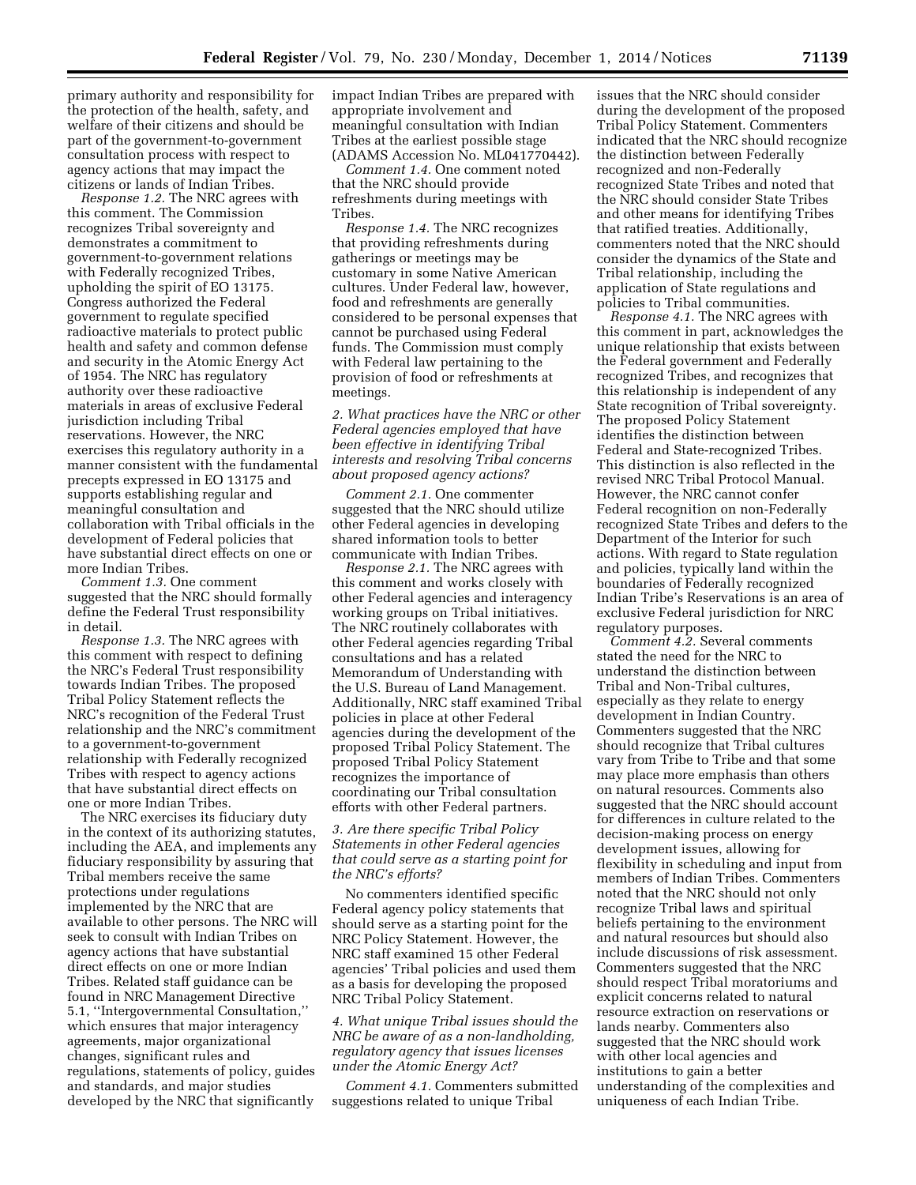primary authority and responsibility for the protection of the health, safety, and welfare of their citizens and should be part of the government-to-government consultation process with respect to agency actions that may impact the citizens or lands of Indian Tribes.

*Response 1.2.* The NRC agrees with this comment. The Commission recognizes Tribal sovereignty and demonstrates a commitment to government-to-government relations with Federally recognized Tribes, upholding the spirit of EO 13175. Congress authorized the Federal government to regulate specified radioactive materials to protect public health and safety and common defense and security in the Atomic Energy Act of 1954. The NRC has regulatory authority over these radioactive materials in areas of exclusive Federal jurisdiction including Tribal reservations. However, the NRC exercises this regulatory authority in a manner consistent with the fundamental precepts expressed in EO 13175 and supports establishing regular and meaningful consultation and collaboration with Tribal officials in the development of Federal policies that have substantial direct effects on one or more Indian Tribes.

*Comment 1.3.* One comment suggested that the NRC should formally define the Federal Trust responsibility in detail.

*Response 1.3.* The NRC agrees with this comment with respect to defining the NRC's Federal Trust responsibility towards Indian Tribes. The proposed Tribal Policy Statement reflects the NRC's recognition of the Federal Trust relationship and the NRC's commitment to a government-to-government relationship with Federally recognized Tribes with respect to agency actions that have substantial direct effects on one or more Indian Tribes.

The NRC exercises its fiduciary duty in the context of its authorizing statutes, including the AEA, and implements any fiduciary responsibility by assuring that Tribal members receive the same protections under regulations implemented by the NRC that are available to other persons. The NRC will seek to consult with Indian Tribes on agency actions that have substantial direct effects on one or more Indian Tribes. Related staff guidance can be found in NRC Management Directive 5.1, ''Intergovernmental Consultation,'' which ensures that major interagency agreements, major organizational changes, significant rules and regulations, statements of policy, guides and standards, and major studies developed by the NRC that significantly

impact Indian Tribes are prepared with appropriate involvement and meaningful consultation with Indian Tribes at the earliest possible stage (ADAMS Accession No. ML041770442).

*Comment 1.4.* One comment noted that the NRC should provide refreshments during meetings with Tribes.

*Response 1.4.* The NRC recognizes that providing refreshments during gatherings or meetings may be customary in some Native American cultures. Under Federal law, however, food and refreshments are generally considered to be personal expenses that cannot be purchased using Federal funds. The Commission must comply with Federal law pertaining to the provision of food or refreshments at meetings.

*2. What practices have the NRC or other Federal agencies employed that have been effective in identifying Tribal interests and resolving Tribal concerns about proposed agency actions?* 

*Comment 2.1.* One commenter suggested that the NRC should utilize other Federal agencies in developing shared information tools to better communicate with Indian Tribes.

*Response 2.1.* The NRC agrees with this comment and works closely with other Federal agencies and interagency working groups on Tribal initiatives. The NRC routinely collaborates with other Federal agencies regarding Tribal consultations and has a related Memorandum of Understanding with the U.S. Bureau of Land Management. Additionally, NRC staff examined Tribal policies in place at other Federal agencies during the development of the proposed Tribal Policy Statement. The proposed Tribal Policy Statement recognizes the importance of coordinating our Tribal consultation efforts with other Federal partners.

### *3. Are there specific Tribal Policy Statements in other Federal agencies that could serve as a starting point for the NRC's efforts?*

No commenters identified specific Federal agency policy statements that should serve as a starting point for the NRC Policy Statement. However, the NRC staff examined 15 other Federal agencies' Tribal policies and used them as a basis for developing the proposed NRC Tribal Policy Statement.

### *4. What unique Tribal issues should the NRC be aware of as a non-landholding, regulatory agency that issues licenses under the Atomic Energy Act?*

*Comment 4.1.* Commenters submitted suggestions related to unique Tribal

issues that the NRC should consider during the development of the proposed Tribal Policy Statement. Commenters indicated that the NRC should recognize the distinction between Federally recognized and non-Federally recognized State Tribes and noted that the NRC should consider State Tribes and other means for identifying Tribes that ratified treaties. Additionally, commenters noted that the NRC should consider the dynamics of the State and Tribal relationship, including the application of State regulations and policies to Tribal communities.

*Response 4.1.* The NRC agrees with this comment in part, acknowledges the unique relationship that exists between the Federal government and Federally recognized Tribes, and recognizes that this relationship is independent of any State recognition of Tribal sovereignty. The proposed Policy Statement identifies the distinction between Federal and State-recognized Tribes. This distinction is also reflected in the revised NRC Tribal Protocol Manual. However, the NRC cannot confer Federal recognition on non-Federally recognized State Tribes and defers to the Department of the Interior for such actions. With regard to State regulation and policies, typically land within the boundaries of Federally recognized Indian Tribe's Reservations is an area of exclusive Federal jurisdiction for NRC regulatory purposes.

*Comment 4.2.* Several comments stated the need for the NRC to understand the distinction between Tribal and Non-Tribal cultures, especially as they relate to energy development in Indian Country. Commenters suggested that the NRC should recognize that Tribal cultures vary from Tribe to Tribe and that some may place more emphasis than others on natural resources. Comments also suggested that the NRC should account for differences in culture related to the decision-making process on energy development issues, allowing for flexibility in scheduling and input from members of Indian Tribes. Commenters noted that the NRC should not only recognize Tribal laws and spiritual beliefs pertaining to the environment and natural resources but should also include discussions of risk assessment. Commenters suggested that the NRC should respect Tribal moratoriums and explicit concerns related to natural resource extraction on reservations or lands nearby. Commenters also suggested that the NRC should work with other local agencies and institutions to gain a better understanding of the complexities and uniqueness of each Indian Tribe.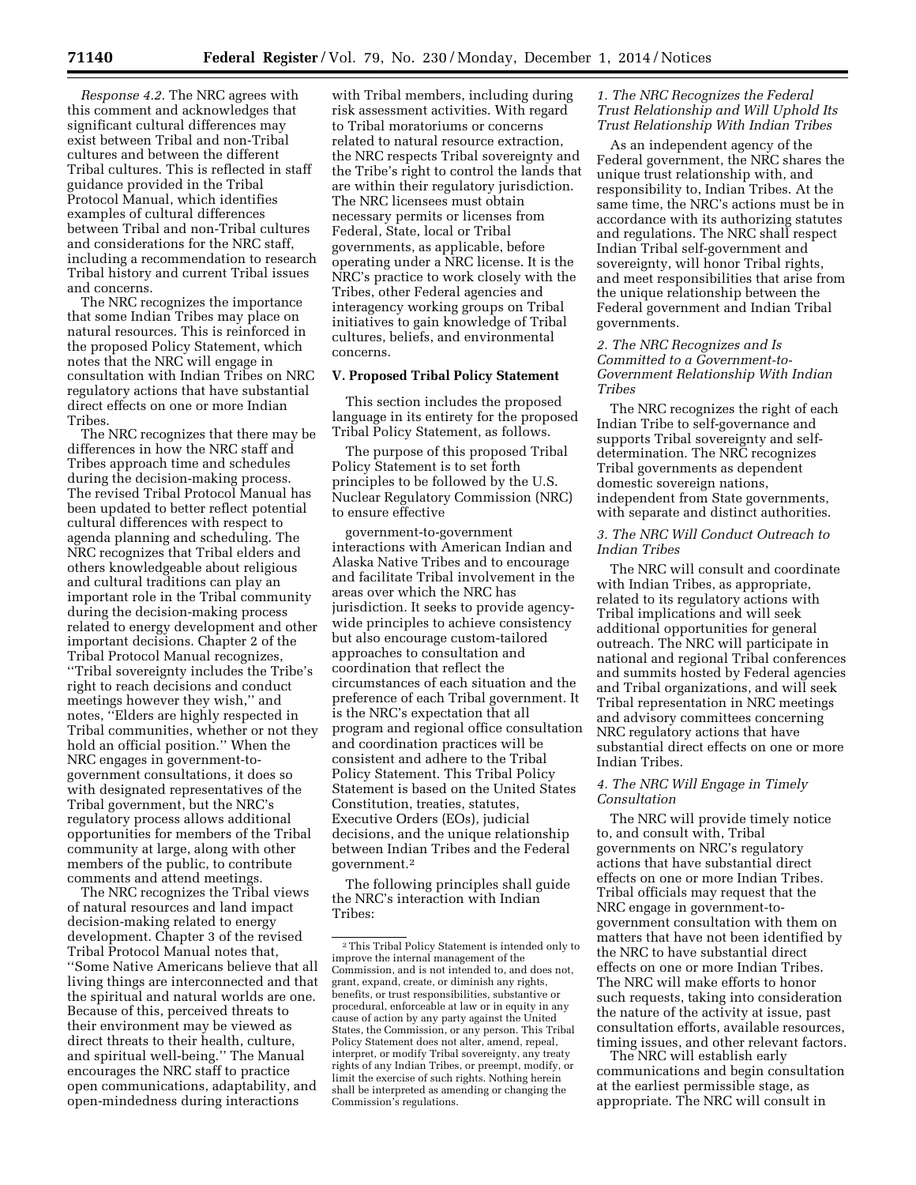*Response 4.2.* The NRC agrees with this comment and acknowledges that significant cultural differences may exist between Tribal and non-Tribal cultures and between the different Tribal cultures. This is reflected in staff guidance provided in the Tribal Protocol Manual, which identifies examples of cultural differences between Tribal and non-Tribal cultures and considerations for the NRC staff, including a recommendation to research Tribal history and current Tribal issues and concerns.

The NRC recognizes the importance that some Indian Tribes may place on natural resources. This is reinforced in the proposed Policy Statement, which notes that the NRC will engage in consultation with Indian Tribes on NRC regulatory actions that have substantial direct effects on one or more Indian Tribes.

The NRC recognizes that there may be differences in how the NRC staff and Tribes approach time and schedules during the decision-making process. The revised Tribal Protocol Manual has been updated to better reflect potential cultural differences with respect to agenda planning and scheduling. The NRC recognizes that Tribal elders and others knowledgeable about religious and cultural traditions can play an important role in the Tribal community during the decision-making process related to energy development and other important decisions. Chapter 2 of the Tribal Protocol Manual recognizes, ''Tribal sovereignty includes the Tribe's right to reach decisions and conduct meetings however they wish,'' and notes, ''Elders are highly respected in Tribal communities, whether or not they hold an official position.'' When the NRC engages in government-togovernment consultations, it does so with designated representatives of the Tribal government, but the NRC's regulatory process allows additional opportunities for members of the Tribal community at large, along with other members of the public, to contribute comments and attend meetings.

The NRC recognizes the Tribal views of natural resources and land impact decision-making related to energy development. Chapter 3 of the revised Tribal Protocol Manual notes that, ''Some Native Americans believe that all living things are interconnected and that the spiritual and natural worlds are one. Because of this, perceived threats to their environment may be viewed as direct threats to their health, culture, and spiritual well-being.'' The Manual encourages the NRC staff to practice open communications, adaptability, and open-mindedness during interactions

with Tribal members, including during risk assessment activities. With regard to Tribal moratoriums or concerns related to natural resource extraction, the NRC respects Tribal sovereignty and the Tribe's right to control the lands that are within their regulatory jurisdiction. The NRC licensees must obtain necessary permits or licenses from Federal, State, local or Tribal governments, as applicable, before operating under a NRC license. It is the NRC's practice to work closely with the Tribes, other Federal agencies and interagency working groups on Tribal initiatives to gain knowledge of Tribal cultures, beliefs, and environmental concerns.

#### **V. Proposed Tribal Policy Statement**

This section includes the proposed language in its entirety for the proposed Tribal Policy Statement, as follows.

The purpose of this proposed Tribal Policy Statement is to set forth principles to be followed by the U.S. Nuclear Regulatory Commission (NRC) to ensure effective

government-to-government interactions with American Indian and Alaska Native Tribes and to encourage and facilitate Tribal involvement in the areas over which the NRC has jurisdiction. It seeks to provide agencywide principles to achieve consistency but also encourage custom-tailored approaches to consultation and coordination that reflect the circumstances of each situation and the preference of each Tribal government. It is the NRC's expectation that all program and regional office consultation and coordination practices will be consistent and adhere to the Tribal Policy Statement. This Tribal Policy Statement is based on the United States Constitution, treaties, statutes, Executive Orders (EOs), judicial decisions, and the unique relationship between Indian Tribes and the Federal government.2

The following principles shall guide the NRC's interaction with Indian Tribes:

# *1. The NRC Recognizes the Federal Trust Relationship and Will Uphold Its Trust Relationship With Indian Tribes*

As an independent agency of the Federal government, the NRC shares the unique trust relationship with, and responsibility to, Indian Tribes. At the same time, the NRC's actions must be in accordance with its authorizing statutes and regulations. The NRC shall respect Indian Tribal self-government and sovereignty, will honor Tribal rights, and meet responsibilities that arise from the unique relationship between the Federal government and Indian Tribal governments.

### *2. The NRC Recognizes and Is Committed to a Government-to-Government Relationship With Indian Tribes*

The NRC recognizes the right of each Indian Tribe to self-governance and supports Tribal sovereignty and selfdetermination. The NRC recognizes Tribal governments as dependent domestic sovereign nations, independent from State governments, with separate and distinct authorities.

## *3. The NRC Will Conduct Outreach to Indian Tribes*

The NRC will consult and coordinate with Indian Tribes, as appropriate, related to its regulatory actions with Tribal implications and will seek additional opportunities for general outreach. The NRC will participate in national and regional Tribal conferences and summits hosted by Federal agencies and Tribal organizations, and will seek Tribal representation in NRC meetings and advisory committees concerning NRC regulatory actions that have substantial direct effects on one or more Indian Tribes.

### *4. The NRC Will Engage in Timely Consultation*

The NRC will provide timely notice to, and consult with, Tribal governments on NRC's regulatory actions that have substantial direct effects on one or more Indian Tribes. Tribal officials may request that the NRC engage in government-togovernment consultation with them on matters that have not been identified by the NRC to have substantial direct effects on one or more Indian Tribes. The NRC will make efforts to honor such requests, taking into consideration the nature of the activity at issue, past consultation efforts, available resources, timing issues, and other relevant factors.

The NRC will establish early communications and begin consultation at the earliest permissible stage, as appropriate. The NRC will consult in

<sup>2</sup>This Tribal Policy Statement is intended only to improve the internal management of the Commission, and is not intended to, and does not, grant, expand, create, or diminish any rights, benefits, or trust responsibilities, substantive or procedural, enforceable at law or in equity in any cause of action by any party against the United States, the Commission, or any person. This Tribal Policy Statement does not alter, amend, repeal, interpret, or modify Tribal sovereignty, any treaty rights of any Indian Tribes, or preempt, modify, or limit the exercise of such rights. Nothing herein shall be interpreted as amending or changing the Commission's regulations.